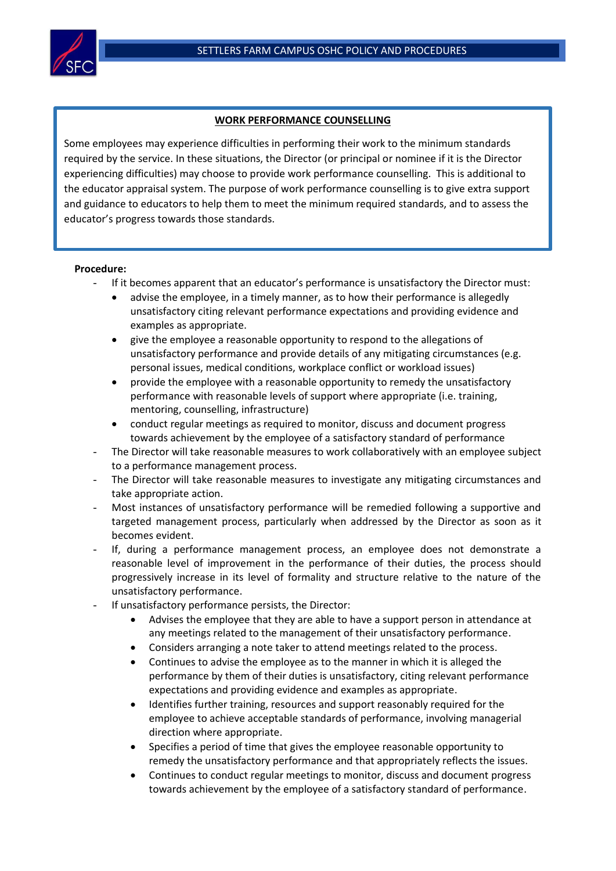

## **WORK PERFORMANCE COUNSELLING**

Some employees may experience difficulties in performing their work to the minimum standards required by the service. In these situations, the Director (or principal or nominee if it is the Director experiencing difficulties) may choose to provide work performance counselling. This is additional to the educator appraisal system. The purpose of work performance counselling is to give extra support and guidance to educators to help them to meet the minimum required standards, and to assess the educator's progress towards those standards.

## **Procedure:**

- If it becomes apparent that an educator's performance is unsatisfactory the Director must:
	- advise the employee, in a timely manner, as to how their performance is allegedly unsatisfactory citing relevant performance expectations and providing evidence and examples as appropriate.
	- give the employee a reasonable opportunity to respond to the allegations of unsatisfactory performance and provide details of any mitigating circumstances (e.g. personal issues, medical conditions, workplace conflict or workload issues)
	- provide the employee with a reasonable opportunity to remedy the unsatisfactory performance with reasonable levels of support where appropriate (i.e. training, mentoring, counselling, infrastructure)
	- conduct regular meetings as required to monitor, discuss and document progress towards achievement by the employee of a satisfactory standard of performance
- The Director will take reasonable measures to work collaboratively with an employee subject to a performance management process.
- The Director will take reasonable measures to investigate any mitigating circumstances and take appropriate action.
- Most instances of unsatisfactory performance will be remedied following a supportive and targeted management process, particularly when addressed by the Director as soon as it becomes evident.
- If, during a performance management process, an employee does not demonstrate a reasonable level of improvement in the performance of their duties, the process should progressively increase in its level of formality and structure relative to the nature of the unsatisfactory performance.
- If unsatisfactory performance persists, the Director:
	- Advises the employee that they are able to have a support person in attendance at any meetings related to the management of their unsatisfactory performance.
	- Considers arranging a note taker to attend meetings related to the process.
	- Continues to advise the employee as to the manner in which it is alleged the performance by them of their duties is unsatisfactory, citing relevant performance expectations and providing evidence and examples as appropriate.
	- Identifies further training, resources and support reasonably required for the employee to achieve acceptable standards of performance, involving managerial direction where appropriate.
	- Specifies a period of time that gives the employee reasonable opportunity to remedy the unsatisfactory performance and that appropriately reflects the issues.
	- Continues to conduct regular meetings to monitor, discuss and document progress towards achievement by the employee of a satisfactory standard of performance.